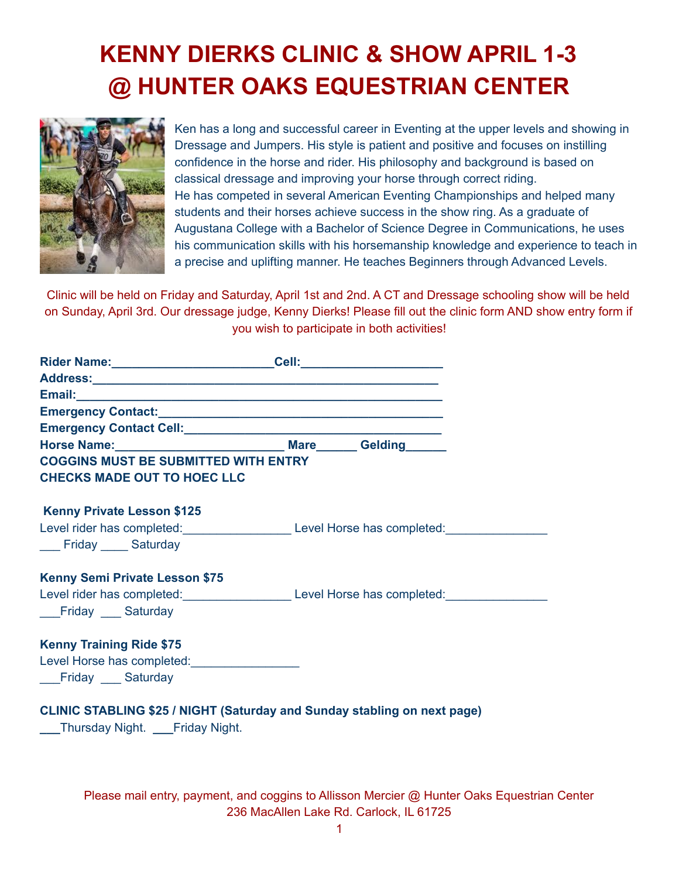## **KENNY DIERKS CLINIC & SHOW APRIL 1-3 @ HUNTER OAKS EQUESTRIAN CENTER**



Ken has a long and successful career in Eventing at the upper levels and showing in Dressage and Jumpers. His style is patient and positive and focuses on instilling confidence in the horse and rider. His philosophy and background is based on classical dressage and improving your horse through correct riding. He has competed in several American Eventing Championships and helped many students and their horses achieve success in the show ring. As a graduate of Augustana College with a Bachelor of Science Degree in Communications, he uses his communication skills with his horsemanship knowledge and experience to teach in a precise and uplifting manner. He teaches Beginners through Advanced Levels.

Clinic will be held on Friday and Saturday, April 1st and 2nd. A CT and Dressage schooling show will be held on Sunday, April 3rd. Our dressage judge, Kenny Dierks! Please fill out the clinic form AND show entry form if you wish to participate in both activities!

| Rider Name: _________________________________Cell: _____________________________                                       |                                                                                                     |  |  |  |
|------------------------------------------------------------------------------------------------------------------------|-----------------------------------------------------------------------------------------------------|--|--|--|
|                                                                                                                        |                                                                                                     |  |  |  |
|                                                                                                                        |                                                                                                     |  |  |  |
|                                                                                                                        |                                                                                                     |  |  |  |
| Emergency Contact Cell: <u>Canadian Contact Cell</u>                                                                   |                                                                                                     |  |  |  |
| Horse Name: __________________________________ Mare _______ Gelding _______                                            |                                                                                                     |  |  |  |
| <b>COGGINS MUST BE SUBMITTED WITH ENTRY</b>                                                                            |                                                                                                     |  |  |  |
| <b>CHECKS MADE OUT TO HOEC LLC</b>                                                                                     |                                                                                                     |  |  |  |
| <b>Kenny Private Lesson \$125</b>                                                                                      |                                                                                                     |  |  |  |
|                                                                                                                        | Level rider has completed: _____________________________Level Horse has completed: ________________ |  |  |  |
| ___ Friday ____ Saturday                                                                                               |                                                                                                     |  |  |  |
| Kenny Semi Private Lesson \$75                                                                                         |                                                                                                     |  |  |  |
|                                                                                                                        | Level rider has completed: Level Horse has completed: Level Horse has completed:                    |  |  |  |
| __Friday ___ Saturday                                                                                                  |                                                                                                     |  |  |  |
| <b>Kenny Training Ride \$75</b>                                                                                        |                                                                                                     |  |  |  |
| Level Horse has completed:<br><u>Level Horse has completed:</u>                                                        |                                                                                                     |  |  |  |
| __Friday ___ Saturday                                                                                                  |                                                                                                     |  |  |  |
| <b>CLINIC STABLING \$25 / NIGHT (Saturday and Sunday stabling on next page)</b><br>___Thursday Night. ___Friday Night. |                                                                                                     |  |  |  |

Please mail entry, payment, and coggins to Allisson Mercier @ Hunter Oaks Equestrian Center 236 MacAllen Lake Rd. Carlock, IL 61725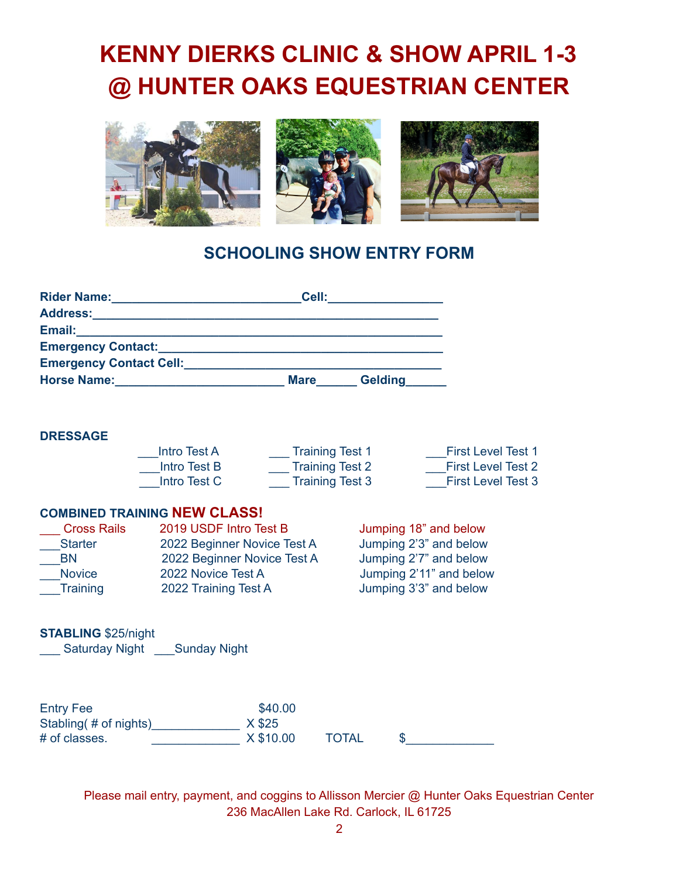# **KENNY DIERKS CLINIC & SHOW APRIL 1-3 @ HUNTER OAKS EQUESTRIAN CENTER**



### **SCHOOLING SHOW ENTRY FORM**

| Address: Address:<br>Email:<br>Emergency Contact Cell: <b>Example 2018</b><br><b>Gelding</b><br>Horse Name: Name: Name: Name: Name: Name: Name: Name: Name: Name: Name: Name: Name: Name: Name: Name: Name: Name: Name: Name: Name: Name: Name: Name: Name: Name: Name: Name: Name: Name: Name: Name: Name: Name: Name: Name:<br><b>Mare</b><br><b>DRESSAGE</b><br><b>Intro Test A</b><br><b>First Level Test 1</b><br><b>Training Test 1</b><br><b>Training Test 2</b><br><b>Intro Test B</b><br><b>First Level Test 2</b><br>Intro Test C<br><b>Training Test 3</b><br><b>COMBINED TRAINING NEW CLASS!</b><br><b>Cross Rails</b><br>2019 USDF Intro Test B<br>Jumping 18" and below | Rider Name: Mannel Mannel Mannel Mannel Mannel Mannel Mannel Mannel Mannel Mannel Mannel Mannel Mannel Mannel | Cell: |                           |
|---------------------------------------------------------------------------------------------------------------------------------------------------------------------------------------------------------------------------------------------------------------------------------------------------------------------------------------------------------------------------------------------------------------------------------------------------------------------------------------------------------------------------------------------------------------------------------------------------------------------------------------------------------------------------------------|---------------------------------------------------------------------------------------------------------------|-------|---------------------------|
|                                                                                                                                                                                                                                                                                                                                                                                                                                                                                                                                                                                                                                                                                       |                                                                                                               |       |                           |
|                                                                                                                                                                                                                                                                                                                                                                                                                                                                                                                                                                                                                                                                                       |                                                                                                               |       |                           |
|                                                                                                                                                                                                                                                                                                                                                                                                                                                                                                                                                                                                                                                                                       |                                                                                                               |       |                           |
|                                                                                                                                                                                                                                                                                                                                                                                                                                                                                                                                                                                                                                                                                       |                                                                                                               |       |                           |
|                                                                                                                                                                                                                                                                                                                                                                                                                                                                                                                                                                                                                                                                                       |                                                                                                               |       |                           |
|                                                                                                                                                                                                                                                                                                                                                                                                                                                                                                                                                                                                                                                                                       |                                                                                                               |       |                           |
|                                                                                                                                                                                                                                                                                                                                                                                                                                                                                                                                                                                                                                                                                       |                                                                                                               |       |                           |
|                                                                                                                                                                                                                                                                                                                                                                                                                                                                                                                                                                                                                                                                                       |                                                                                                               |       |                           |
|                                                                                                                                                                                                                                                                                                                                                                                                                                                                                                                                                                                                                                                                                       |                                                                                                               |       | <b>First Level Test 3</b> |
|                                                                                                                                                                                                                                                                                                                                                                                                                                                                                                                                                                                                                                                                                       |                                                                                                               |       |                           |
|                                                                                                                                                                                                                                                                                                                                                                                                                                                                                                                                                                                                                                                                                       |                                                                                                               |       |                           |
| Jumping 2'3" and below<br><b>Starter</b><br>2022 Beginner Novice Test A<br>0.00000<br><b>DNI</b><br>the compact of the construction of the company of the company of the company of the company of the company of the company of the company of the company of the company of the company of the company of the company of the com                                                                                                                                                                                                                                                                                                                                                    |                                                                                                               |       |                           |

| טווארו טטטוט                | ZUTJ UUDI TIINU IGJL D      |           |       | <b>UWILIPING TO GITA DUIUW</b> |                         |  |
|-----------------------------|-----------------------------|-----------|-------|--------------------------------|-------------------------|--|
| <b>Starter</b>              | 2022 Beginner Novice Test A |           |       | Jumping 2'3" and below         |                         |  |
| <b>BN</b>                   | 2022 Beginner Novice Test A |           |       | Jumping 2'7" and below         |                         |  |
| <b>Novice</b>               | 2022 Novice Test A          |           |       |                                | Jumping 2'11" and below |  |
| <b>Training</b>             | 2022 Training Test A        |           |       | Jumping 3'3" and below         |                         |  |
|                             |                             |           |       |                                |                         |  |
| <b>STABLING \$25/night</b>  |                             |           |       |                                |                         |  |
| Saturday Night Sunday Night |                             |           |       |                                |                         |  |
|                             |                             |           |       |                                |                         |  |
|                             |                             |           |       |                                |                         |  |
| <b>Entry Fee</b>            |                             | \$40.00   |       |                                |                         |  |
| Stabling(# of nights)       |                             | X \$25    |       |                                |                         |  |
| # of classes.               |                             | X \$10.00 | TOTAL | \$                             |                         |  |

Please mail entry, payment, and coggins to Allisson Mercier @ Hunter Oaks Equestrian Center 236 MacAllen Lake Rd. Carlock, IL 61725